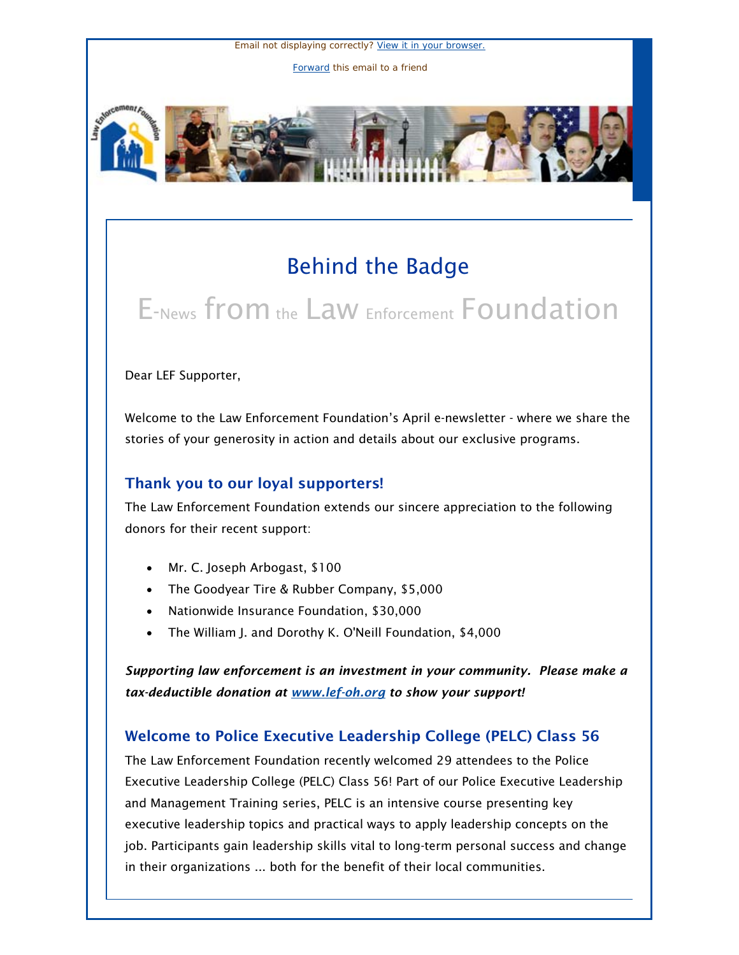Email not displaying correctly? [View it in your browser.](http://us1.campaign-archive.com/?u=cae15d65024df1c29f350ea33&id=1695912e0e&e=5e0af12557) [Forward](http://us1.forward-to-friend.com/forward?u=cae15d65024df1c29f350ea33&id=1695912e0e&e=5e0af12557) this email to a friend





## Behind the Badge

# E-News from the Law Enforcement Foundation

#### Dear LEF Supporter,

Welcome to the Law Enforcement Foundation's April e-newsletter - where we share the stories of your generosity in action and details about our exclusive programs.

#### Thank you to our loyal supporters!

The Law Enforcement Foundation extends our sincere appreciation to the following donors for their recent support:

- Mr. C. Joseph Arbogast, \$100
- The Goodyear Tire & Rubber Company, \$5,000
- Nationwide Insurance Foundation, \$30,000
- The William J. and Dorothy K. O'Neill Foundation, \$4,000

*Supporting law enforcement is an investment in your community. Please make a tax-deductible donation at [www.lef-oh.org](http://www.lef-oh.org/) to show your support!*

### Welcome to Police Executive Leadership College (PELC) Class 56

The Law Enforcement Foundation recently welcomed 29 attendees to the Police Executive Leadership College (PELC) Class 56! Part of our Police Executive Leadership and Management Training series, PELC is an intensive course presenting key executive leadership topics and practical ways to apply leadership concepts on the job. Participants gain leadership skills vital to long-term personal success and change in their organizations ... both for the benefit of their local communities.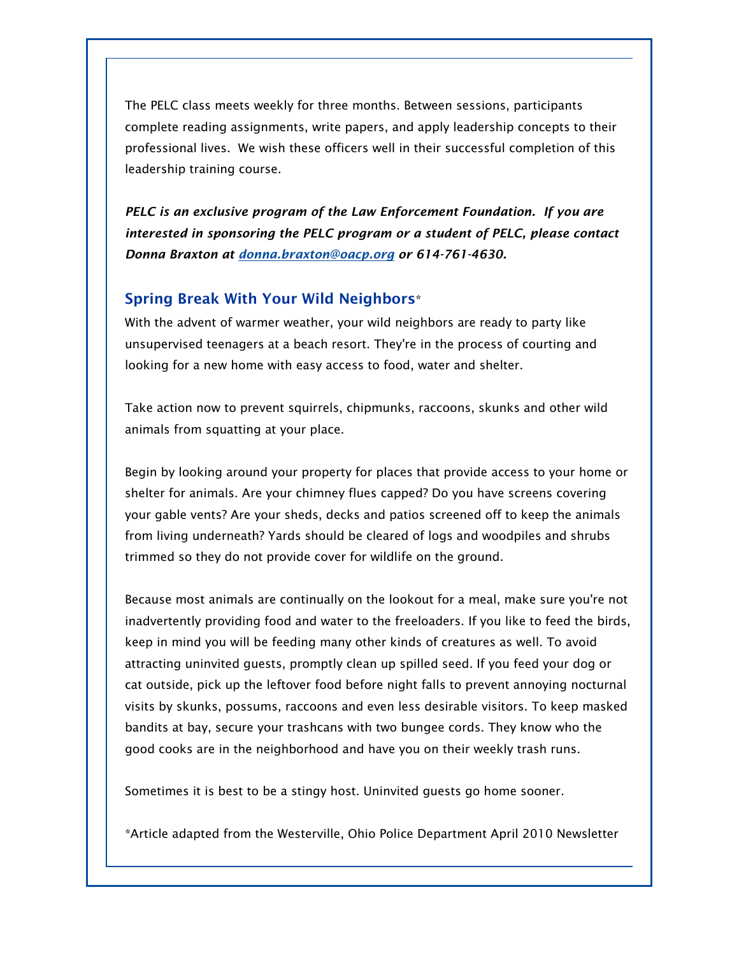The PELC class meets weekly for three months. Between sessions, participants complete reading assignments, write papers, and apply leadership concepts to their professional lives. We wish these officers well in their successful completion of this leadership training course.

*PELC is an exclusive program of the Law Enforcement Foundation. If you are interested in sponsoring the PELC program or a student of PELC, please contact Donna Braxton at [donna.braxton@oacp.org](mailto:donna.braxton@oacp.org) or 614-761-4630.* 

#### Spring Break With Your Wild Neighbors\*

With the advent of warmer weather, your wild neighbors are ready to party like unsupervised teenagers at a beach resort. They're in the process of courting and looking for a new home with easy access to food, water and shelter.

Take action now to prevent squirrels, chipmunks, raccoons, skunks and other wild animals from squatting at your place.

Begin by looking around your property for places that provide access to your home or shelter for animals. Are your chimney flues capped? Do you have screens covering your gable vents? Are your sheds, decks and patios screened off to keep the animals from living underneath? Yards should be cleared of logs and woodpiles and shrubs trimmed so they do not provide cover for wildlife on the ground.

Because most animals are continually on the lookout for a meal, make sure you're not inadvertently providing food and water to the freeloaders. If you like to feed the birds, keep in mind you will be feeding many other kinds of creatures as well. To avoid attracting uninvited guests, promptly clean up spilled seed. If you feed your dog or cat outside, pick up the leftover food before night falls to prevent annoying nocturnal visits by skunks, possums, raccoons and even less desirable visitors. To keep masked bandits at bay, secure your trashcans with two bungee cords. They know who the good cooks are in the neighborhood and have you on their weekly trash runs.

Sometimes it is best to be a stingy host. Uninvited guests go home sooner.

\*Article adapted from the Westerville, Ohio Police Department April 2010 Newsletter